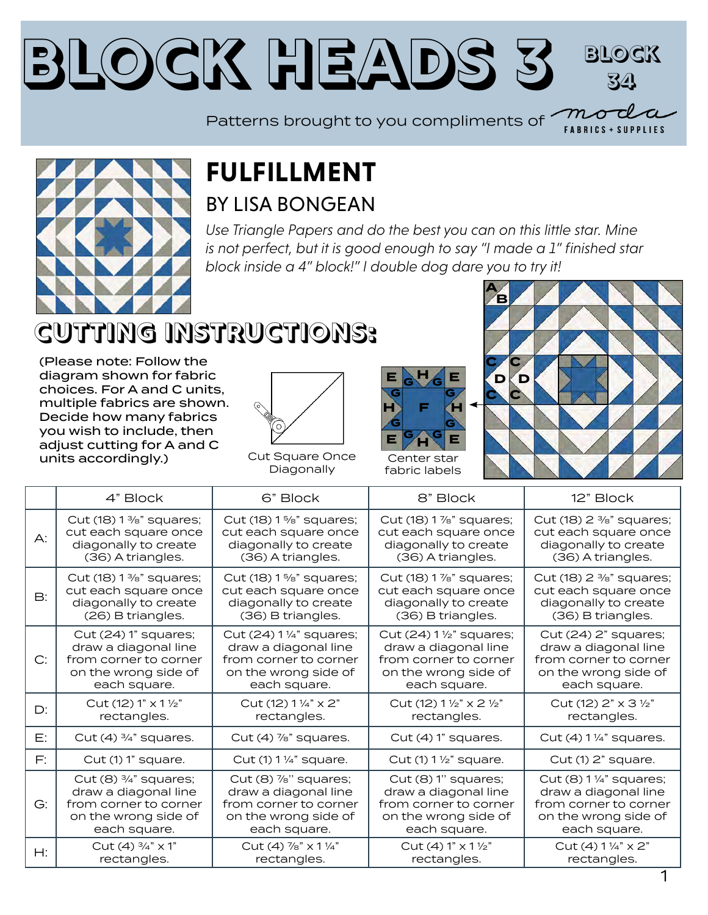#### **Block Heads [3](https://modafabrics.com) Block 34**  $\bm{\mathcal{m}}$ o

Patterns brought to you compliments of**FABRICS + SUPPLIES** 



#### **FULFILLMENT** BY [LISA BONGEAN](https://my.modafabrics.com/designers/primitive-gatherings)

*Use Triangle Papers and do the best you can on this little star. Mine is not perfect, but it is good enough to say "I made a 1" finished star block inside a 4" block!" I double dog dare you to try it!*

# **CUTTING INSTRUCTIONS:**

(Please note: Follow the diagram shown for fabric choices. For A and C units, multiple fabrics are shown. Decide how many fabrics you wish to include, then adjust cutting for A and C units accordingly.)

rectangles.



Cut Square Once Diagonally

rectangles.





fabric labels

rectangles.

|           | 4" Block                           | 6" Block                              | 8" Block                         | 12" Block                                         |
|-----------|------------------------------------|---------------------------------------|----------------------------------|---------------------------------------------------|
| A:        | Cut (18) $1\frac{3}{8}$ " squares; | Cut (18) 1 %" squares;                | Cut (18) 1 %" squares;           | Cut (18) 2 <sup>3</sup> / <sub>8</sub> " squares; |
|           | cut each square once               | cut each square once                  | cut each square once             | cut each square once                              |
|           | diagonally to create               | diagonally to create                  | diagonally to create             | diagonally to create                              |
|           | (36) A triangles.                  | (36) A triangles.                     | (36) A triangles.                | (36) A triangles.                                 |
| <b>B:</b> | Cut $(18)$ 1 %" squares;           | Cut (18) 1 %" squares;                | Cut (18) 1 %" squares;           | Cut (18) 2 <sup>3</sup> / <sub>8</sub> " squares; |
|           | cut each square once               | cut each square once                  | cut each square once             | cut each square once                              |
|           | diagonally to create               | diagonally to create                  | diagonally to create             | diagonally to create                              |
|           | (26) B triangles.                  | (36) B triangles.                     | (36) B triangles.                | (36) B triangles.                                 |
| C:        | Cut (24) 1" squares;               | Cut (24) 1 1/4" squares;              | Cut (24) 1 1/2" squares;         | Cut (24) 2" squares;                              |
|           | draw a diagonal line               | draw a diagonal line                  | draw a diagonal line             | draw a diagonal line                              |
|           | from corner to corner              | from corner to corner                 | from corner to corner            | from corner to corner                             |
|           | on the wrong side of               | on the wrong side of                  | on the wrong side of             | on the wrong side of                              |
|           | each square.                       | each square.                          | each square.                     | each square.                                      |
| D:        | Cut (12) 1" x 1 1/2"               | Cut (12) $1\frac{1}{4}$ " $\times$ 2" | Cut (12) 1 1/2" x 2 1/2"         | Cut (12) $2" \times 3 \frac{1}{2}"$               |
|           | rectangles.                        | rectangles.                           | rectangles.                      | rectangles.                                       |
| E:        | Cut $(4)$ $\frac{3}{4}$ " squares. | Cut $(4)$ $\frac{7}{8}$ " squares.    | Cut (4) 1" squares.              | Cut (4) 1 1/4" squares.                           |
| F:        | Cut (1) 1" square.                 | Cut (1) 1 1/4" square.                | Cut (1) $1\frac{1}{2}$ " square. | Cut (1) 2" square.                                |
| G:        | Cut $(8)$ $\frac{3}{4}$ " squares; | $Cut(8)$ $\frac{7}{8}$ " squares;     | Cut (8) 1" squares;              | Cut (8) 1 1/4" squares;                           |
|           | draw a diagonal line               | draw a diagonal line                  | draw a diagonal line             | draw a diagonal line                              |
|           | from corner to corner              | from corner to corner                 | from corner to corner            | from corner to corner                             |
|           | on the wrong side of               | on the wrong side of                  | on the wrong side of             | on the wrong side of                              |
|           | each square.                       | each square.                          | each square.                     | each square.                                      |
| H:        | Cut (4) $\frac{3}{4}$ " x 1"       | Cut (4) %" x 1 1/4"                   | Cut (4) 1" x 1 1/2"              | Cut (4) 1 1/4" x 2"                               |
|           | المتمارين لمرتبط منافرات           | المراجع المستحدث والمستحدث            | المناصر والمستنقذ والمتعارف      | المتمارين المراسين المادر                         |

rectangles.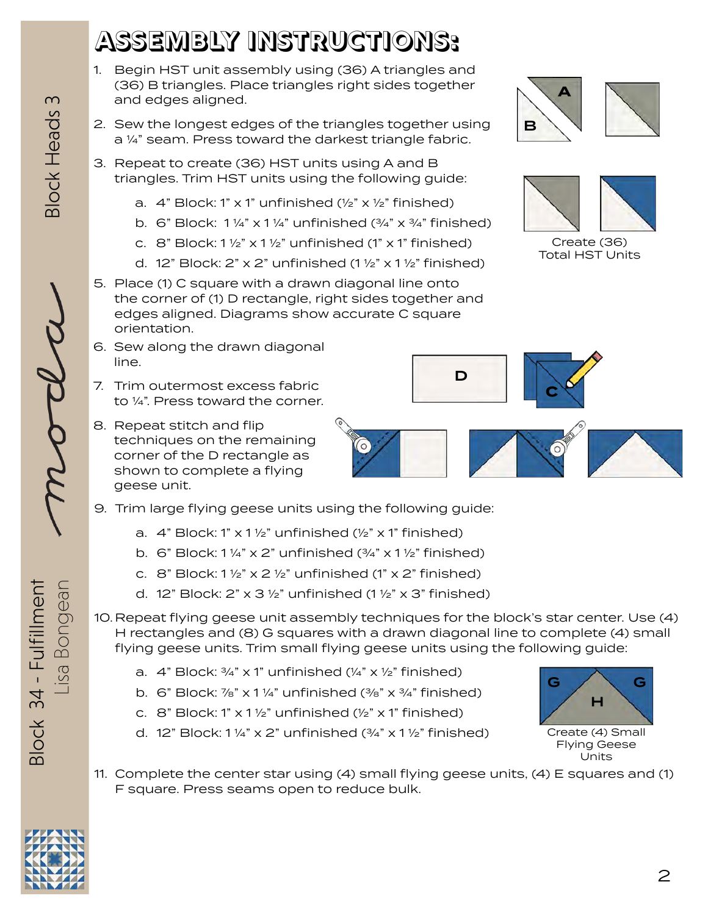## **ASSEMBLY INSTRUCTIONS:**

- 1. Begin HST unit assembly using (36) A triangles and (36) B triangles. Place triangles right sides together and edges aligned.
- 2. Sew the longest edges of the triangles together using a ¼" seam. Press toward the darkest triangle fabric.
- 3. Repeat to create (36) HST units using A and B triangles. Trim HST units using the following guide:
	- a.  $4$ " Block: 1" x 1" unfinished ( $\frac{1}{2}$ " x  $\frac{1}{2}$ " finished)
	- b. 6" Block:  $1\frac{1}{4}$ " x  $1\frac{1}{4}$ " unfinished  $\left(\frac{3}{4}$ " x  $\frac{3}{4}$ " finished)
	- c. 8" Block:  $1\frac{1}{2}$ " x  $1\frac{1}{2}$ " unfinished (1" x 1" finished)
	- d. 12" Block: 2" x 2" unfinished (1  $\frac{1}{2}$ " x 1  $\frac{1}{2}$ " finished)
- 5. Place (1) C square with a drawn diagonal line onto the corner of (1) D rectangle, right sides together and edges aligned. Diagrams show accurate C square orientation.
- 6. Sew along the drawn diagonal line.
- 7. Trim outermost excess fabric to ¼". Press toward the corner.
- 8. Repeat stitch and flip techniques on the remaining corner of the D rectangle as shown to complete a flying geese unit.
- 9. Trim large flying geese units using the following guide:
	- a.  $4$ " Block: 1" x 1 1/2" unfinished ( $\frac{1}{2}$ " x 1" finished)
	- b. 6" Block:  $1\frac{1}{4}$ " x 2" unfinished  $\left(\frac{3}{4}$ " x  $1\frac{1}{2}$ " finished)
	- c. 8" Block:  $1\frac{1}{2}$ " x  $2\frac{1}{2}$ " unfinished (1" x  $2$ " finished)
	- d. 12" Block: 2" x 3  $\frac{1}{2}$ " unfinished (1  $\frac{1}{2}$ " x 3" finished)

10. Repeat flying geese unit assembly techniques for the block's star center. Use (4) H rectangles and (8) G squares with a drawn diagonal line to complete (4) small flying geese units. Trim small flying geese units using the following guide:

- a.  $4$ " Block:  $\frac{3}{4}$ " x 1" unfinished ( $\frac{1}{4}$ " x  $\frac{1}{2}$ " finished)
- b. 6" Block:  $\frac{7}{8}$ " x 1 ¼" unfinished ( $\frac{3}{8}$ " x  $\frac{3}{4}$ " finished)
- c.  $8$ " Block: 1" x 1 1/2" unfinished (1/2" x 1" finished)
- d. 12" Block: 1 1/4" x 2" unfinished  $(3/4" \times 1$  1/2" finished)
- 11. Complete the center star using (4) small flying geese units, (4) E squares and (1) F square. Press seams open to reduce bulk.







Create (36) Total HST Units

G / \ G H

Create (4) Small Flying Geese Units





Lisa Bongean **MOCLCL** Block Heads 3

**Block Heads 3** 

Lisa Bongean Block 34 - Fulfillment Block 34 - Fulfillment